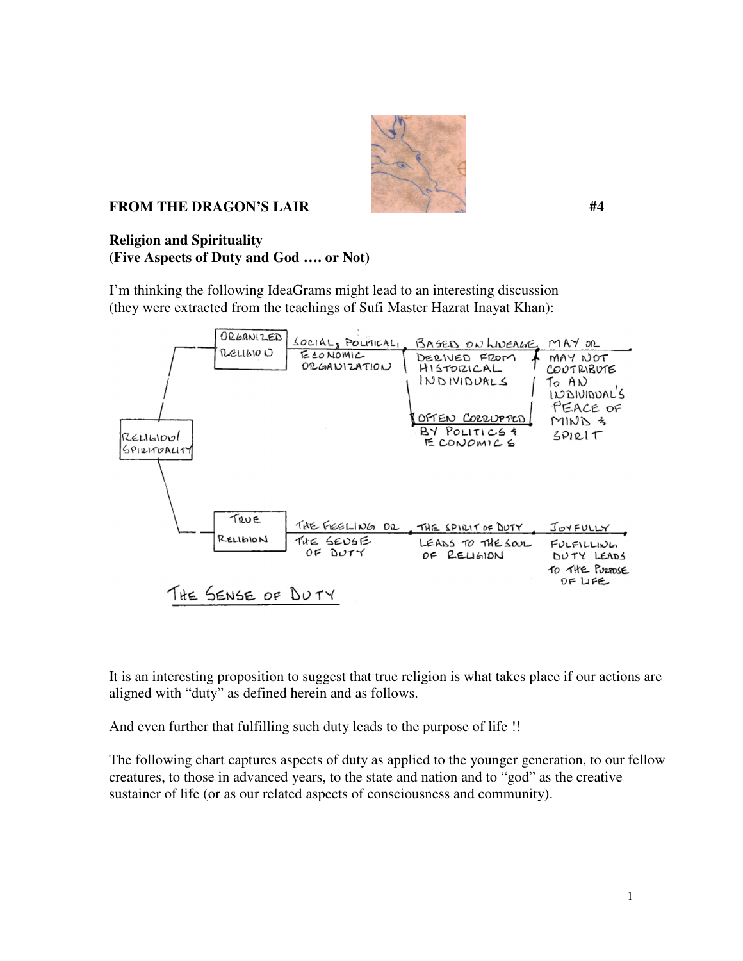

## **FROM THE DRAGON'S LAIR #4**

## **Religion and Spirituality (Five Aspects of Duty and God …. or Not)**

I'm thinking the following IdeaGrams might lead to an interesting discussion (they were extracted from the teachings of Sufi Master Hazrat Inayat Khan):



It is an interesting proposition to suggest that true religion is what takes place if our actions are aligned with "duty" as defined herein and as follows.

And even further that fulfilling such duty leads to the purpose of life !!

The following chart captures aspects of duty as applied to the younger generation, to our fellow creatures, to those in advanced years, to the state and nation and to "god" as the creative sustainer of life (or as our related aspects of consciousness and community).